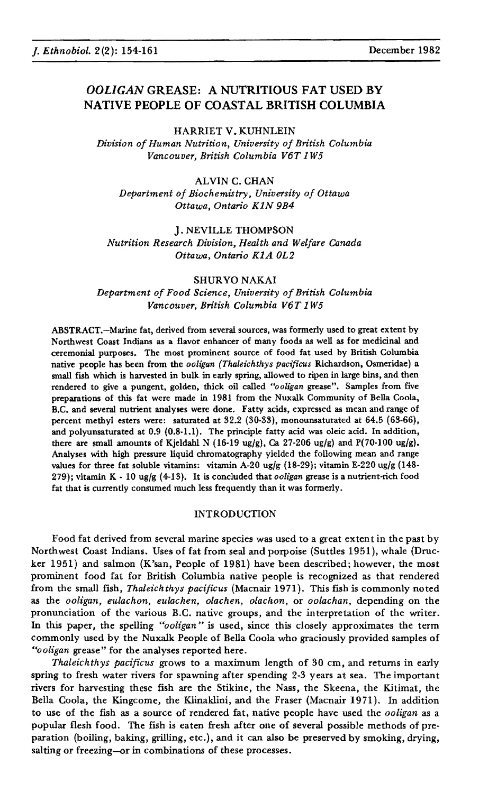# *OOLIGAN* GREASE: A NUTRITIOUS FAT USED BY NATIVE PEOPLE OF COASTAL BRITISH COLUMBIA

HARRIET V. KUHNLEIN *Division of Human Nutrition, University of British Columbia Vancouver, British Columbia V6T IW5*

ALVIN C. CHAN *Department of Biochemistry, University of Ottawa Ottawa, Ontario KIN 9B4*

J. NEVILLE THOMPSON *Nutrition Research Division, Health and Welfare Canada Ottawa, Ontario KIA OL2*

#### SHURYO NAKAI

*Department of Food Science, University of British Columbia Vancouver, British Columbia V6T* 1 *W5*

ABSTRACT.-Marine fat, derived from several sources, was formerly used to great extent by Northwest Coast Indians as a flavor enhancer of many foods as well as for medicinal and ceremonial purposes. The most prominent source of food fat used by British Columbia native people has been from the *ooligan (Thaleichthys pacificus* Richardson, Osmeridae) a small fish which is harvested in bulk in early spring, allowed to ripen in large bins, and then rendered to give a pungent, golden, thick oil called "ooligan grease". Samples from five preparations of this fat were made in 1981 from the Nuxalk Community of Bella Coola, B.C. and several nutrient analyses were done. Fatty acids, expressed as mean and range of percent methyl esters were: saturated at 32.2 (30-33), monounsaturated at 64.5 (63-66), and polyunsaturated at 0.9 (0.8-1.1). The principle fatty acid was oleic acid. In addition, there are small amounts of Kjeldahl N (16-19 ug/g), Ca 27-206 ug/g) and P(70-100 ug/g). Analyses with high pressure liquid chromatography yielded the following mean and range values for three fat soluble vitamins: vitamin A-20 ug/g (18-29); vitamin E·220 ug/g (148- 279); vitamin K - 10 ug/g (4-13). It is concluded that *ooligan* grease is a nutrient-rich food fat that is currently consumed much less frequently than it was formerly.

### INTRODUCTION

.Food fat derived from several marine species was used to a great extent in the past by Northwest Coast Indians. Uses of fat from seal and porpoise (Suttles 1951), whale (Drucker 1951) and salmon (K'san, People of 1981) have been described; however, the most prominent food fat for British Columbia native people is recognized as that rendered from the small fish, *Thaleichthys pacificus* (Macnair 1971). This fish is commonly noted as the *ooligan*, *eulachon, eulachen, olachen, olachon,* or *oolachan,* depending on the pronunciation of the various B.C. native groups, and the interpretation of the writer. In this paper, the spelling *"ooligan"* is used, since this closely approximates the term commonly used by the Nuxalk People of Bella Coola who graciously provided samples of *"ooligan* grease" for the analyses reported here.

*Thaleichthys pacificus* grows to a maximum length of 30 em, and returns in early spring to fresh water rivers for spawning after spending 2-3 years at sea. The important rivers for harvesting these fish are the Stikine, the Nass, the Skeena, the Kitimat, the Bella Coola, the Kingcome, the Klinaklini, and the Fraser (Macnair 1971). In addition to use of the fish as a source of rendered fat, native people have used the *ooligan* as a popular flesh food. The fish is eaten fresh after one of several possible methods of preparation (boiling, baking, grilling, etc.), and it can also be preserved by smoking, drying, salting or freezing-or in combinations of these processes.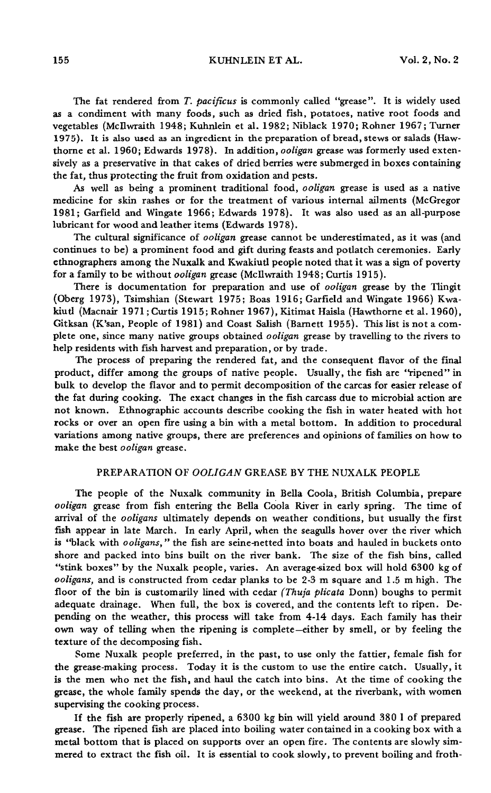155 KUHNLEIN ET AL. Vol. 2, No.2

The fat rendered from *T. pacificus* is commonly called "grease". It is widely used as a condiment with many foods, such as dried fish, potatoes, native root foods and vegetables (McIlwraith 1948; Kuhnlein et al. 1982; Niblack 1970; Rohner 1967; Turner 1975). It is also used as an ingredient in the preparation of bread, stews or salads (Hawthorne et al. 1960; Edwards 1978). In addition, *ooligan* grease was formerly used extensively as a preservative in that cakes of dried berries were submerged in boxes containing the fat, thus protecting the fruit from oxidation and pests.

As well as being a prominent traditional food, *ooligan* grease is used as a native medicine for skin rashes or for the treatment of various internal ailments (McGregor 1981; Garfield and Wingate 1966; Edwards 1978). It was also used as an all-purpose lubricant for wood and leather items (Edwards 1978).

The cultural significance of *ooligan* grease cannot be underestimated, as it was (and continues to be) a prominent food and gift during feasts and potlatch ceremonies. Early ethnographers among the Nuxalk and Kwakiutl people noted that it was a sign of poverty for a family to be without *ooligan* grease (McIlwraith 1948; Curtis 1915).

There is documentation for preparation and use of *ooligan* grease by the Tlingit (Oberg 1973), Tsimshian (Stewart 1975; Boas 1916; Garfield and Wingate 1966) Kwakiut! (Macnair 1971; Curtis 1915; Rohner 1967), Kitimat Haisla (Hawthorne et al. 1960), Gitksan (K'san, People of 1981) and Coast Salish (Barnett 1955). This list is not a complete one, since many native groups obtained *ooligan* grease by travelling to the rivers to help residents with fish harvest and preparation, or by trade.

The process of preparing the rendered fat, and the consequent flavor of the final product, differ among the groups of native people. Usually, the fish are "ripened" in bulk to develop the flavor and to permit decomposition of the carcas for easier release of the fat during cooking. The exact changes in the fish carcass due to microbial action are not known. Ethnographic accounts describe cooking the fish in water heated with hot rocks or over an open fire using a bin with a metal bottom. In addition to procedural variations among native groups, there are preferences and opinions of families on how to make the best *Doligan* grease.

# PREPARATION OF *OOLIGAN* GREASE BY THE NUXALK PEOPLE

The people of the Nuxalk community in Bella Coola, British Columbia, prepare *ooligan* grease from fish entering the Bella Coola River in early spring. The time of arrival of the *ooligans* ultimately depends on weather conditions, but usually the first fish appear in late March. In early April, when the seagulls hover over the river which is "black with *ooligans,* " the fish are seine-netted into boats and hauled in buckets onto shore and packed into bins built on the river bank. The size of the fish bins, called "stink boxes" by the Nuxalk people, varies. An average-sized box will hold 6300 kg of *ooligans,* and is constructed from cedar planks to be 2-3 m square and 1.5 m high. The floor of the bin is customarily lined with cedar *(Thuja plicata Donn)* boughs to permit adequate drainage. When full, the box is covered, and the contents left to ripen. Depending on the weather, this process will take from 4-14 days. Each family has their own way of telling when the ripening is complete-either by smell, or by feeling the texture of the decomposing fish.

Some Nuxalk people preferred, in the past, to use only the fattier, female fish for the grease-making process. Today it is the custom to use the entire catch. Usually, it is the men who net the fish, and haul the catch into bins. At the time of cooking the grease, the whole family spends the day, or the weekend, at the riverbank, with women supervising the cooking process.

If the fish are properly ripened, a 6300 kg bin will yield around 380 I of prepared grease. The ripened fish are placed into boiling water contained in a cooking box with a metal bottom that is placed on supports over an open fire. The contents are slowly simmered to extract the fish oil. It is essential to cook slowly, to prevent boiling and froth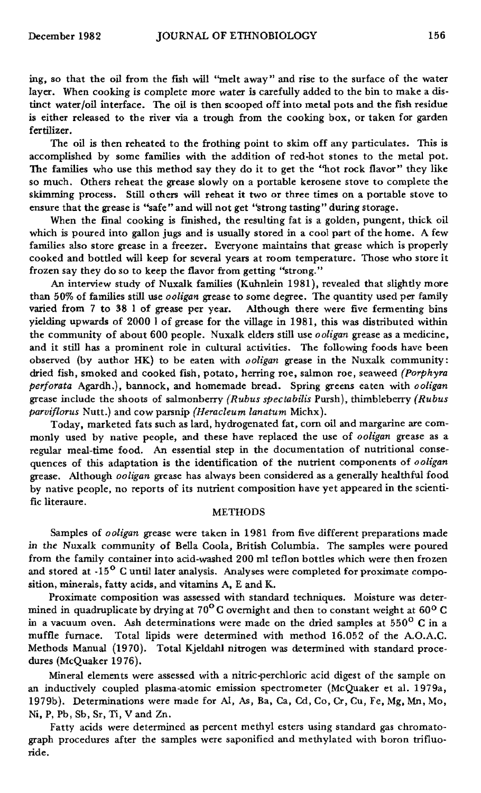ing, so that the oil from the fish will <'melt away" and rise to the surface of the water layer. When cooking is complete more water is carefully added to the bin to make a distinct water/oil interface. The oil is then scooped off into metal pots and the fish residue is either released to the river via a trough from the cooking box, or taken for garden fertilizer.

The oil is then reheated to the frothing point to skim off any particulates. This is accomplished by some families with the addition of red-hot stones to the metal pot. The families who use this method say they do it to get the <'hot rock flavor" they like so much. Others reheat the grease slowly on a portable kerosene stove to complete the skimming process. Still others will reheat it two or three times on a portable stove to ensure that the grease is "safe" and will not get "strong tasting" during storage.

When the final cooking is finished, the resulting fat is a golden, pungent, thick oil which is poured into gallon jugs and is usually stored in a cool part of the home. A few families also store grease in a freezer. Everyone maintains that grease which is properly cooked and bottled will keep for several years at room temperature. Those who store it frozen say they do so to keep the flavor from getting "strong."

An interview study of Nuxalk families (Kuhnlein 1981), revealed that slightly more than 50% of families still use *ooligan* grease to some degree. The quantity used per family varied from 7 to 38 I of grease per year. Although there were five fermenting bins yielding upwards of 2000 I of grease for the village in 1981, this was distributed within the community of about 600 people. Nuxalk elders still use *ooligan* grease as a medicine, and it still has a prominent role in cultural activities. The following foods have been observed (by author HK) to be eaten with *ooligan* grease in the Nuxalk community: dried fish, smoked and cooked fish, potato, herring roe, salmon roe, seaweed *(Porphyra perforata* Agardh.), bannock, and homemade bread. Spring greens eaten with *ooligan* grease include the shoots of salmonberry *(Rubus spectabilis* Pursh), thimbleberry *(Rubus parviflorus* Nutt.) and cow parsnip *(Heracleum lanatum* Michx).

Today, marketed fats such as lard, hydrogenated fat, com oil and margarine are commonly used by native people, and these have replaced the use of *ooligan* grease as a regular meal-time food. An essential step in the documentation of nutritional consequences of this adaptation is the identification of the nutrient components of *ooligan* grease. Although *ooligan* grease has always been considered as a generally healthful food by native people, no reports of its nutrient composition have yet appeared in the scientific literaure.

#### METHODS

Samples of *ooligan* grease were taken in 1981 from five different preparations made in the Nuxalk community of Bella Coola, British Columbia. The samples were poured from the family container into acid-washed 200 ml teflon bottles which were then frozen and stored at -15<sup>o</sup> C until later analysis. Analyses were completed for proximate composition, minerals, fatty acids, and vitamins A, E and K.

Proximate composition was assessed with standard techniques. Moisture was determined in quadruplicate by drying at  $70^{\circ}$ C overnight and then to constant weight at 60°C in a vacuum oven. Ash determinations were made on the dried samples at  $550^{\circ}$  C in a muffle furnace. Total lipids were determined with method 16.052 of the A.O.A.C. Methods Manual (1970). Total Kjeldahl nitrogen was determined with standard procedures (McQuaker 1976).

Mineral elements were assessed with a nitric-perchloric acid digest of the sample on an inductively coupled plasma-atomic emission spectrometer (McQuaker et al. 1979a, 1979b). Determinations were made for Al, As, Ba, Ca, Cd, Co, Cr, Cu, Fe, Mg, Mn, Mo, Ni, P, Ph, Sb, Sr, Ti, V and Zn.

Fatty acids were determined as percent methyl esters using standard gas chromatograph procedures after the samples were saponified and methylated with boron trifluoride.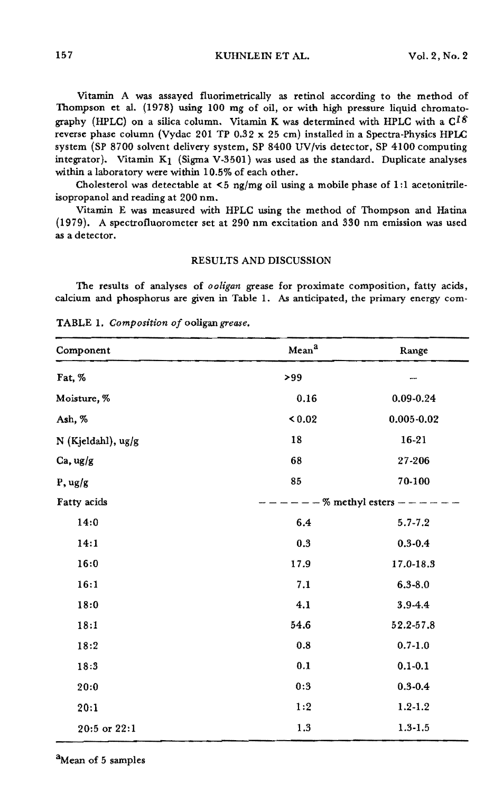157 KUHNLEIN ET AL. Vol. 2, No.2

Vitamin A was assayed fluorimetrically as retinol according to the method of Thompson et al. (1978) using 100 mg of oil, or with high pressure liquid chromatography (HPLC) on a silica column. Vitamin K was determined with HPLC with a  $C^{I\delta}$ reverse phase column (Vydac 201 TP  $0.32 \times 25$  cm) installed in a Spectra-Physics HPLC system (SP 8700 solvent delivery system, SP 8400 UV/vis detector, SP 4100 computing integrator). Vitamin  $K_1$  (Sigma V-3501) was used as the standard. Duplicate analyses within a laboratory were within 10.5% of each other.

Cholesterol was detectable at  $\leq 5$  ng/mg oil using a mobile phase of 1:1 acetonitrileisopropanol and reading at 200 nm.

Vitamin E was measured with HPLC using the method of Thompson and Hatina (1979). A spectrofluorometer set at 290 nm excitation and 330 nm emission was used as a detector.

# RESULTS AND DISCUSSION

The results of analyses of *ooligan* grease for proximate composition, fatty acids, calcium and phosphorus are given in Table 1. As anticipated, the primary energy com·

| Component          | Mean <sup>a</sup> | Range                       |  |  |
|--------------------|-------------------|-----------------------------|--|--|
| Fat, %             | >99               |                             |  |  |
| Moisture, %        | 0.16              | 0.09-0.24                   |  |  |
| Ash, %             | < 0.02            | $0.005 - 0.02$              |  |  |
| N (Kjeldahl), ug/g | 18                | 16-21                       |  |  |
| Ca, ug/g           | 68                | 27-206                      |  |  |
| P, ug/g            | 85                | 70-100                      |  |  |
| Fatty acids        |                   | $--$ % methyl esters $- --$ |  |  |
| 14:0               | 6.4               | $5.7 - 7.2$                 |  |  |
| 14:1               | 0.3               | $0.3 - 0.4$                 |  |  |
| 16:0               | 17.9              | 17.0-18.3                   |  |  |
| 16:1               | 7.1               | $6.3 - 8.0$                 |  |  |
| 18:0               | 4.1               | 3.9-4.4                     |  |  |
| 18:1               | 54.6              | 52.2-57.8                   |  |  |
| 18:2               | 0.8               | $0.7 - 1.0$                 |  |  |
| 18:3               | 0.1               | $0.1 - 0.1$                 |  |  |
| 20:0               | 0:3               | $0.3 - 0.4$                 |  |  |
| 20:1               | 1:2               | $1.2 - 1.2$                 |  |  |
| 20:5 or 22:1       | 1.3               | $1.3 - 1.5$                 |  |  |

TABLE 1. *Composition* of ooligan grease.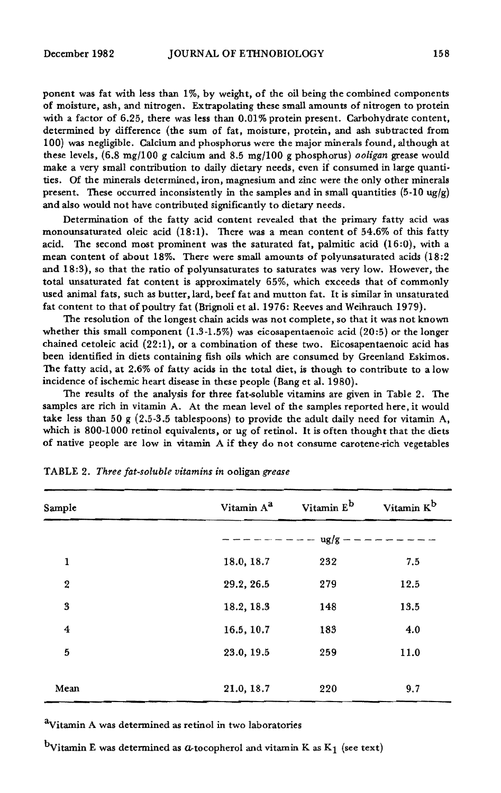ponent was fat with less than 1%, by weight, of the oil being the combined components of moisture, ash, and nitrogen. Extrapolating these small amounts of nitrogen to protein with a factor of 6.25, there was less than 0.01% protein present. Carbohydrate content, determined by difference (the sum of fat, moisture, protein, and ash subtracted from 100) was negligible. Calcium and phosphorus were the major minerals found, although at these levels, (6.8 mg/100 g calcium and 8.5 mg/100 g phosphorus) *ooligan* grease would make a very small contribution to daily dietary needs, even if consumed in large quantities. Of the minerals determined, iron, magnesium and zinc were the only other minerals present. These occurred inconsistently in the samples and in small quantities  $(5-10 \text{ ug/g})$ and also would not have contributed significantly to dietary needs.

Determination of the fatty acid content revealed that the primary fatty acid was monounsaturated oleic acid (18:1). There was a mean content of 54.6% of this fatty acid. The second most prominent was the saturated fat, palmitic acid (16:0), with a mean content of about 18%. There were small amounts of polyunsaturated acids (18:2 and 18:3), so that the ratio of polyunsaturates to saturates was very low. However, the total unsaturated fat content is approximately 65%, which exceeds that of commonly used animal fats, such as butter, lard, beef fat and mutton fat. It is similar in unsaturated fat content to that of poultry fat (Brignoli et al. 1976: Reeves and Weihrauch 1979).

The resolution of the longest chain acids was not complete, so that it was not known whether this small component  $(1.3-1.5\%)$  was eicosapentaenoic acid  $(20.5)$  or the longer chained cetoleic acid (22:1), or a combination of these two. Eicosapentaenoic acid has been identified in diets containing fish oils which are consumed by Greenland Eskimos. The fatty acid, at 2.6% of fatty acids in the total diet, is though to contribute to a low incidence of ischemic heart disease in these people (Bang et al. 1980).

The results of the analysis for three fat-soluble vitamins are given in Table 2. The samples are rich in vitamin A. At the mean level of the samples reported here, it would take less than 50 g  $(2.5-3.5 \text{ tablespoons})$  to provide the adult daily need for vitamin A, which is 800-1000 retinol equivalents, or ug of retinol. It is often thought that the diets of native people are low in vitamin A if they do not consume carotene-rich vegetables

| Sample           | Vitamin A <sup>a</sup> | Vitamin E <sup>b</sup> | Vitamin K <sup>b</sup> |
|------------------|------------------------|------------------------|------------------------|
|                  |                        | $ug/g -$               |                        |
| 1                | 18.0, 18.7             | 232                    | 7.5                    |
| $\boldsymbol{2}$ | 29.2, 26.5             | 279                    | 12.5                   |
| 3                | 18.2, 18.3             | 148                    | 13.5                   |
| $\boldsymbol{4}$ | 16.5, 10.7             | 183                    | 4.0                    |
| 5                | 23.0, 19.5             | 259                    | 11.0                   |
|                  |                        |                        |                        |
| Mean             | 21.0, 18.7             | 220                    | 9.7                    |

TABLE 2. *Three fat-soluble vitamins in* ooligan *grease*

<sup>a</sup>Vitamin A was determined as retinol in two laboratories

<sup>b</sup>Vitamin E was determined as  $a$ -tocopherol and vitamin K as K<sub>1</sub> (see text)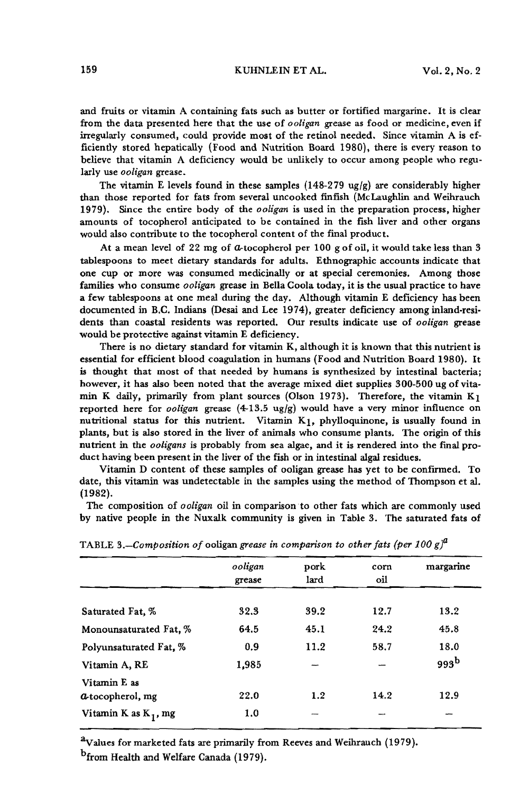and fruits or vitamin A containing fats such as butter or fortified margarine. It is clear from the data presented here that the use of *ooligan* grease as food or medicine, even if irregularly consumed, could provide most of the retinol needed. Since vitamin A is efficiently stored hepatically (Food and Nutrition Board 1980), there is every reason to believe that vitamin A deficiency would be unlikely to occur among people who regularly use *ooligan* grease.

The vitamin E levels found in these samples  $(148-279 \text{ ug/g})$  are considerably higher than those reported for fats from several uncooked finfish (McLaughlin and Weihrauch 1979). Since the entire body of the *ooligan* is used in the preparation process, higher amounts of tocopherol anticipated to be contained in the fish liver and other organs would also contribute to the tocopherol content of the final product.

At a mean level of 22 mg of  $a$ -tocopherol per 100 g of oil, it would take less than  $3$ tablespoons to meet dietary standards for adults. Ethnographic accounts indicate that one cup or more was consumed medicinally or at special ceremonies. Among those families who consume *ooligan* grease in Bella Coola today, it is the usual practice to have a few tablespoons at one meal during the day. Although vitamin E deficiency has been documented in B.C. Indians (Desai and Lee 1974), greater deficiency among inland-residents than coastal residents was reported. Our results indicate use of *ooligan* grease would be protective against vitamin E deficiency.

There is no dietary standard for vitamin K, although it is known that this nutrient is essential for efficient blood coagulation in humans (Food and Nutrition Board 1980). It is thought that most of that needed by humans is synthesized by intestinal bacteria; however, it has also been noted that the average mixed diet supplies 300-500 ug of vitamin K daily, primarily from plant sources (Olson 1973). Therefore, the vitamin  $K_1$ reported here for *ooligan* grease (4-13.5 ugjg) would have a very minor influence on nutritional status for this nutrient. Vitamin K1, phylloquinone, is usually found in plants, but is also stored in the liver of animals who consume plants. The origin of this nutrient in the *ooligans* is probably from sea algae, and it is rendered into the Imal product having been present in the liver of the fish or in intestinal algal residues.

Vitamin D content of these samples of ooligan grease has yet to be confirmed. To date, this vitamin was undetectable in the samples using the method of Thompson et al. (1982).

The composition of *ooligan* oil in comparison to other fats which are commonly used by native people in the Nuxalk community is given in Table 3. The saturated fats of

|                                | ooligan<br>grease | pork<br>lard | corn<br>oil | margarine |
|--------------------------------|-------------------|--------------|-------------|-----------|
|                                |                   |              |             |           |
| Saturated Fat, %               | 32.3              | 39.2         | 12.7        | 13.2      |
| Monounsaturated Fat, %         | 64.5              | 45.1         | 24.2        | 45.8      |
| Polyunsaturated Fat, %         | 0.9               | 11.2         | 58.7        | 18.0      |
| Vitamin A, RE                  | 1,985             |              |             | 993b      |
| Vitamin E as                   |                   |              |             |           |
| <b><i>a</i></b> tocopherol, mg | 22.0              | 1.2          | 14.2        | 12.9      |
| Vitamin K as $K_1$ , mg        | 1.0               |              |             |           |

TABLE *3.-Composition of* ooligan *grease in comparison to other fats (per 100 gya*

 $a$ Values for marketed fats are primarily from Reeves and Weihrauch (1979). <sup>b</sup>from Health and Welfare Canada (1979).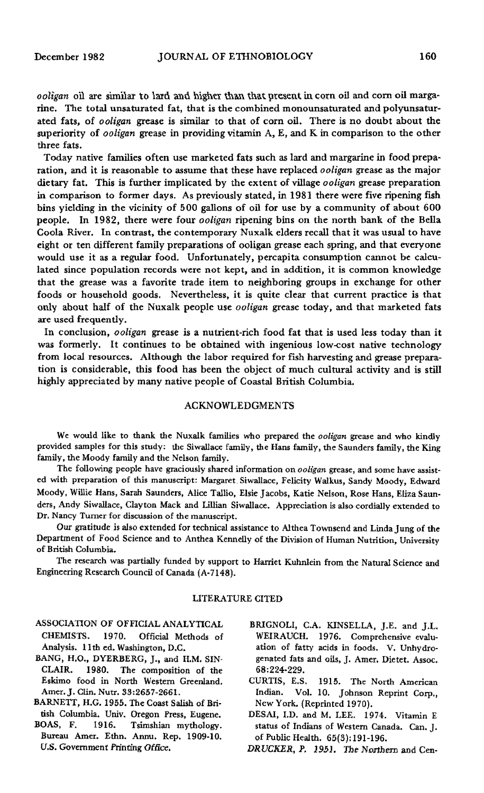*ooligan* oil are similar to lard and higher than that present in corn oil and corn oil margarine. The total unsaturated fat, that is the combined monounsaturated and polyunsaturated fats, of ooligan grease is similar to that of corn oil. There is no doubt about the superiority of *ooligan* grease in providing vitamin  $A$ ,  $E$ , and  $K$  in comparison to the other three fats.

Today native families often use marketed fats such as lard and margarine in food preparation, and it is reasonable to assume that these have replaced ooligan grease as the major dietary fat. This is further implicated by the extent of village *ooligan* grease preparation in comparison to former days. As previously stated, in 1981 there were five ripening fish bins yielding in the vicinity of 500 gallons of oil for use by a community of about 600 people. In 1982, there were four *ooligan* ripening bins on the north bank of the Bella Coola River. In contrast, the contemporary Nuxalk elders recall that it was usual to have eight or ten different family preparations of ooligan grease each spring, and that everyone would use it as a regular food. Unfortunately, percapita consumption cannot be calculated since population records were not kept, and in addition, it is common knowledge that the grease was a favorite trade item to neighboring groups in exchange for other foods or household goods. Nevertheless, it is quite clear that current practice is that only about half of the Nuxalk people use *ooligan* grease today, and that marketed fats are used frequently.

In conclusion, *ooligan* grease is a nutrient-rich food fat that is used less today than it was formerly. It continues to be obtained with ingenious low-cost native technology from local resources. Although the labor required for fish harvesting and grease preparation is considerable, this food has been the object of much cultural activity and is still highly appreciated by many native people of Coastal British Columbia.

# ACKNOWLEDGMENTS

We would like to thank the Nuxalk families who prepared the ooligan grease and who kindly provided samples for this study; the Siwallace family, the Hans family, the Saunders family, the King family, the Moody family and the Nelson family.

The following people have graciously shared information on ooligan grease, and some have assisted with preparation of this manuscript: Margaret Siwallace, Felicity Walkus, Sandy Moody, Edward Moody, Willie Hans, Sarah Saunders, Alice Tallio, Elsie Jacobs, Katie Nelson, Rose Hans, Eliza Saun· ders, Andy Siwallace, Clayton Mack and Lillian Siwallace. Appreciation is also cordially extended to Dr. Nancy Turner for discussion of the manuscript.

Our gratitude is also extended for technical assistance to Althea Townsend and Linda Jung of the Department of Food Science and to Anthea Kermelly of the Division of Human Nutrition, University of British Columbia.

The research was partially funded by support to Harriet Kuhnlein from the Natural Science and Engineering Research Council of Canada (A-7148).

# LITERATURE CITED

- ASSOCIATION OF OFFICIAL ANALYTICAL CHEMISTS. 1970. Official Methods of Analysis. 11th ed. Washington, D.C.
- BANG, H.O., DYERBERG, J., and H.M. SIN· CLAIR. 1980. The composition of the Eskimo food in North Western Greenland. Amer. J. Clin. Nutr. 33:2657-2661.
- BARNETT, H.G. 1955. The Coast Salish of British Columbia. Univ. Oregon Press, Eugene.
- BOAS, F. 1916. Tsimshian mythology. Bureau Amer. Ethn. Armu. Rep. 1909·10. U.s. Government Printing Office.
- BRIGNOLI, C.A. KINSELLA, J.E. and J.L. WEIRAUCH. 1976. Comprehensive evaluation of fatty acids in foods. V. Unhydrogenated fats and oils, J. Amer. Dietet. Assoc. 68:224·229.
- CURTIS, E.S. 1915. The North American Indian. Vol. 10. Johnson Reprint Corp., New York. (Reprinted 1970).
- DESAI, I.D. and M. LEE. 1974. Vitamin E status of Indians of Western Canada. Can. J. of Public Health. 65(3):191-196.

*DRl)CKER, P.* 1951. *The* Northern and Cen-